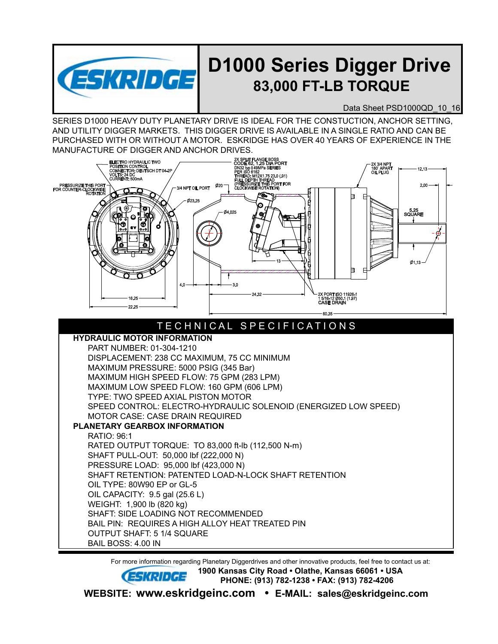

## **D1000 Series Digger Drive 83,000 FT-LB TORQUE**

Data Sheet PSD1000QD 10 16

SERIES D1000 HEAVY DUTY PLANETARY DRIVE IS IDEAL FOR THE CONSTUCTION, ANCHOR SETTING, AND UTILITY DIGGER MARKETS. THIS DIGGER DRIVE IS AVAILABLE IN A SINGLE RATIO AND CAN BE PURCHASED WITH OR WITHOUT A MOTOR. ESKRIDGE HAS OVER 40 YEARS OF EXPERIENCE IN THE MANUFACTURE OF DIGGER AND ANCHOR DRIVES.



 For more information regarding Planetary Diggerdrives and other innovative products, feel free to contact us at: **1900 Kansas City Road • Olathe, Kansas 66061 • USA PHONE: (913) 782-1238 • FAX: (913) 782-4206 WEBSITE: www.eskridgeinc.com • E-MAIL: sales@eskridgeinc.com**